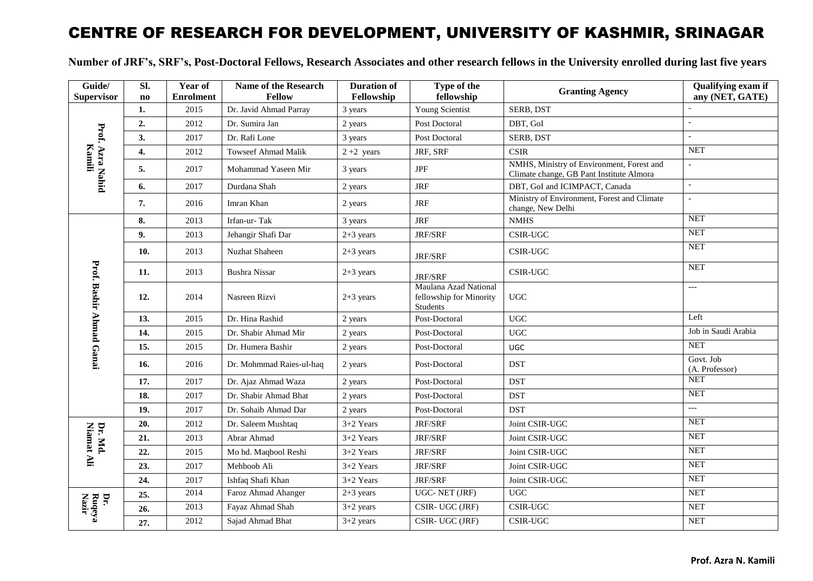## CENTRE OF RESEARCH FOR DEVELOPMENT, UNIVERSITY OF KASHMIR, SRINAGAR

**Number of JRF's, SRF's, Post-Doctoral Fellows, Research Associates and other research fellows in the University enrolled during last five years**

| Guide/<br><b>Supervisor</b>     | SI.<br>$\mathbf{n}\mathbf{o}$ | Year of<br><b>Enrolment</b> | Name of the Research<br><b>Fellow</b> | <b>Duration of</b><br>Fellowship | Type of the<br>fellowship                                    | <b>Granting Agency</b>                                                                | Qualifying exam if<br>any (NET, GATE) |
|---------------------------------|-------------------------------|-----------------------------|---------------------------------------|----------------------------------|--------------------------------------------------------------|---------------------------------------------------------------------------------------|---------------------------------------|
|                                 | 1.                            | 2015                        | Dr. Javid Ahmad Parray                | 3 years                          | Young Scientist                                              | SERB, DST                                                                             |                                       |
|                                 | 2.                            | 2012                        | Dr. Sumira Jan                        | 2 years                          | Post Doctoral                                                | DBT, GoI                                                                              |                                       |
| Prof. Azra Nahid<br>Kamili      | 3.                            | 2017                        | Dr. Rafi Lone                         | 3 years                          | Post Doctoral                                                | SERB, DST                                                                             | $\mathbb{Z}^2$                        |
|                                 | 4.                            | 2012                        | <b>Towseef Ahmad Malik</b>            | $2+2$ years                      | JRF, SRF                                                     | <b>CSIR</b>                                                                           | <b>NET</b>                            |
|                                 | 5.                            | 2017                        | Mohammad Yaseen Mir                   | 3 years                          | <b>JPF</b>                                                   | NMHS, Ministry of Environment, Forest and<br>Climate change, GB Pant Institute Almora | $\overline{a}$                        |
|                                 | 6.                            | 2017                        | Durdana Shah                          | 2 years                          | <b>JRF</b>                                                   | DBT, GoI and ICIMPACT, Canada                                                         | $\mathbb{L}$                          |
|                                 | 7.                            | 2016                        | Imran Khan                            | 2 years                          | <b>JRF</b>                                                   | Ministry of Environment, Forest and Climate<br>change, New Delhi                      |                                       |
|                                 | 8.                            | 2013                        | Irfan-ur-Tak                          | 3 years                          | <b>JRF</b>                                                   | <b>NMHS</b>                                                                           | <b>NET</b>                            |
|                                 | 9.                            | 2013                        | Jehangir Shafi Dar                    | $2+3$ years                      | JRF/SRF                                                      | CSIR-UGC                                                                              | <b>NET</b>                            |
|                                 | 10.                           | 2013                        | <b>Nuzhat Shaheen</b>                 | $2+3$ years                      | JRF/SRF                                                      | CSIR-UGC                                                                              | <b>NET</b>                            |
| <b>Prof. Bashir Ahmad Ganai</b> | 11.                           | 2013                        | <b>Bushra Nissar</b>                  | $2+3$ years                      | JRF/SRF                                                      | CSIR-UGC                                                                              | <b>NET</b>                            |
|                                 | 12.                           | 2014                        | Nasreen Rizvi                         | $2+3$ years                      | Maulana Azad National<br>fellowship for Minority<br>Students | <b>UGC</b>                                                                            | $---$                                 |
|                                 | 13.                           | 2015                        | Dr. Hina Rashid                       | 2 years                          | Post-Doctoral                                                | <b>UGC</b>                                                                            | Left                                  |
|                                 | 14.                           | 2015                        | Dr. Shabir Ahmad Mir                  | 2 years                          | Post-Doctoral                                                | <b>UGC</b>                                                                            | Job in Saudi Arabia                   |
|                                 | 15.                           | 2015                        | Dr. Humera Bashir                     | 2 years                          | Post-Doctoral                                                | <b>UGC</b>                                                                            | <b>NET</b>                            |
|                                 | 16.                           | 2016                        | Dr. Mohmmad Raies-ul-haq              | 2 years                          | Post-Doctoral                                                | <b>DST</b>                                                                            | Govt. Job<br>(A. Professor)           |
|                                 | 17.                           | 2017                        | Dr. Ajaz Ahmad Waza                   | 2 years                          | Post-Doctoral                                                | <b>DST</b>                                                                            | <b>NET</b>                            |
|                                 | 18.                           | 2017                        | Dr. Shabir Ahmad Bhat                 | 2 years                          | Post-Doctoral                                                | <b>DST</b>                                                                            | <b>NET</b>                            |
|                                 | 19.                           | 2017                        | Dr. Sohaib Ahmad Dar                  | 2 years                          | Post-Doctoral                                                | <b>DST</b>                                                                            | $\overline{a}$                        |
|                                 | 20.                           | 2012                        | Dr. Saleem Mushtaq                    | $3+2$ Years                      | <b>JRF/SRF</b>                                               | Joint CSIR-UGC                                                                        | <b>NET</b>                            |
| Dr. Md.<br>Niamat<br>Äli        | 21.                           | 2013                        | Abrar Ahmad                           | 3+2 Years                        | JRF/SRF                                                      | Joint CSIR-UGC                                                                        | <b>NET</b>                            |
|                                 | 22.                           | 2015                        | Mo hd. Maqbool Reshi                  | 3+2 Years                        | JRF/SRF                                                      | Joint CSIR-UGC                                                                        | <b>NET</b>                            |
|                                 | 23.                           | 2017                        | Mehboob Ali                           | $3+2$ Years                      | JRF/SRF                                                      | Joint CSIR-UGC                                                                        | <b>NET</b>                            |
|                                 | 24.                           | 2017                        | Ishfaq Shafi Khan                     | $3+2$ Years                      | JRF/SRF                                                      | Joint CSIR-UGC                                                                        | <b>NET</b>                            |
| Dr.                             | 25.                           | 2014                        | Faroz Ahmad Ahanger                   | $2+3$ years                      | UGC-NET (JRF)                                                | <b>UGC</b>                                                                            | <b>NET</b>                            |
| Ruqeya<br>Nazir                 | 26.                           | 2013                        | Fayaz Ahmad Shah                      | $3+2$ years                      | CSIR- UGC (JRF)                                              | <b>CSIR-UGC</b>                                                                       | <b>NET</b>                            |
|                                 | 27.                           | 2012                        | Sajad Ahmad Bhat                      | $3+2$ years                      | CSIR-UGC (JRF)                                               | <b>CSIR-UGC</b>                                                                       | <b>NET</b>                            |